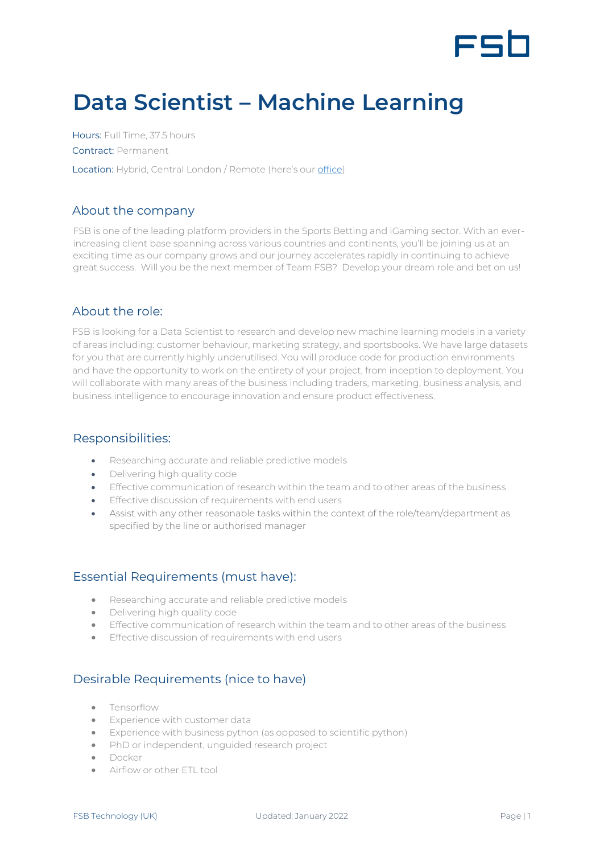

# **Data Scientist – Machine Learning**

Hours: Full Time, 37.5 hours Contract: Permanent Location: Hybrid, Central London / Remote (here's our [office\)](https://www.google.com/maps/place/Moray+house,+London/@51.5175111,-0.1425708,17z/data=!3m1!4b1!4m5!3m4!1s0x48761b2a8799d3e9:0xbc30e69c4f00c44f!8m2!3d51.5175111!4d-0.1403821)

#### About the company

FSB is one of the leading platform providers in the Sports Betting and iGaming sector. With an everincreasing client base spanning across various countries and continents, you'll be joining us at an exciting time as our company grows and our journey accelerates rapidly in continuing to achieve great success. Will you be the next member of Team FSB? Develop your dream role and bet on us!

#### About the role:

FSB is looking for a Data Scientist to research and develop new machine learning models in a variety of areas including: customer behaviour, marketing strategy, and sportsbooks. We have large datasets for you that are currently highly underutilised. You will produce code for production environments and have the opportunity to work on the entirety of your project, from inception to deployment. You will collaborate with many areas of the business including traders, marketing, business analysis, and business intelligence to encourage innovation and ensure product effectiveness.

#### Responsibilities:

- Researching accurate and reliable predictive models
- Delivering high quality code
- Effective communication of research within the team and to other areas of the business
- Effective discussion of requirements with end users
- Assist with any other reasonable tasks within the context of the role/team/department as specified by the line or authorised manager

### Essential Requirements (must have):

- Researching accurate and reliable predictive models
- Delivering high quality code
- Effective communication of research within the team and to other areas of the business
- Effective discussion of requirements with end users

## Desirable Requirements (nice to have)

- Tensorflow
- Experience with customer data
- Experience with business python (as opposed to scientific python)
- PhD or independent, unguided research project
- Docker
- Airflow or other FTL tool